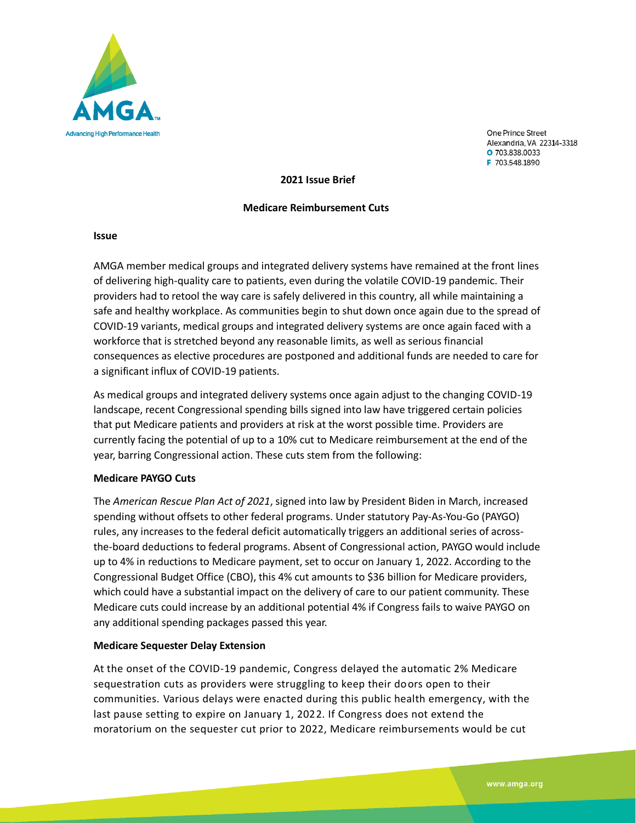

One Prince Street Alexandria, VA 22314-3318 O 703.838.0033 F 703.548.1890

**2021 Issue Brief**

#### **Medicare Reimbursement Cuts**

#### **Issue**

AMGA member medical groups and integrated delivery systems have remained at the front lines of delivering high-quality care to patients, even during the volatile COVID-19 pandemic. Their providers had to retool the way care is safely delivered in this country, all while maintaining a safe and healthy workplace. As communities begin to shut down once again due to the spread of COVID-19 variants, medical groups and integrated delivery systems are once again faced with a workforce that is stretched beyond any reasonable limits, as well as serious financial consequences as elective procedures are postponed and additional funds are needed to care for a significant influx of COVID-19 patients.

As medical groups and integrated delivery systems once again adjust to the changing COVID-19 landscape, recent Congressional spending bills signed into law have triggered certain policies that put Medicare patients and providers at risk at the worst possible time. Providers are currently facing the potential of up to a 10% cut to Medicare reimbursement at the end of the year, barring Congressional action. These cuts stem from the following:

### **Medicare PAYGO Cuts**

The *American Rescue Plan Act of 2021*, signed into law by President Biden in March, increased spending without offsets to other federal programs. Under statutory Pay-As-You-Go (PAYGO) rules, any increases to the federal deficit automatically triggers an additional series of acrossthe-board deductions to federal programs. Absent of Congressional action, PAYGO would include up to 4% in reductions to Medicare payment, set to occur on January 1, 2022. According to the Congressional Budget Office (CBO), this 4% cut amounts to \$36 billion for Medicare providers, which could have a substantial impact on the delivery of care to our patient community. These Medicare cuts could increase by an additional potential 4% if Congress fails to waive PAYGO on any additional spending packages passed this year.

### **Medicare Sequester Delay Extension**

At the onset of the COVID-19 pandemic, Congress delayed the automatic 2% Medicare sequestration cuts as providers were struggling to keep their doors open to their communities. Various delays were enacted during this public health emergency, with the last pause setting to expire on January 1, 2022. If Congress does not extend the moratorium on the sequester cut prior to 2022, Medicare reimbursements would be cut